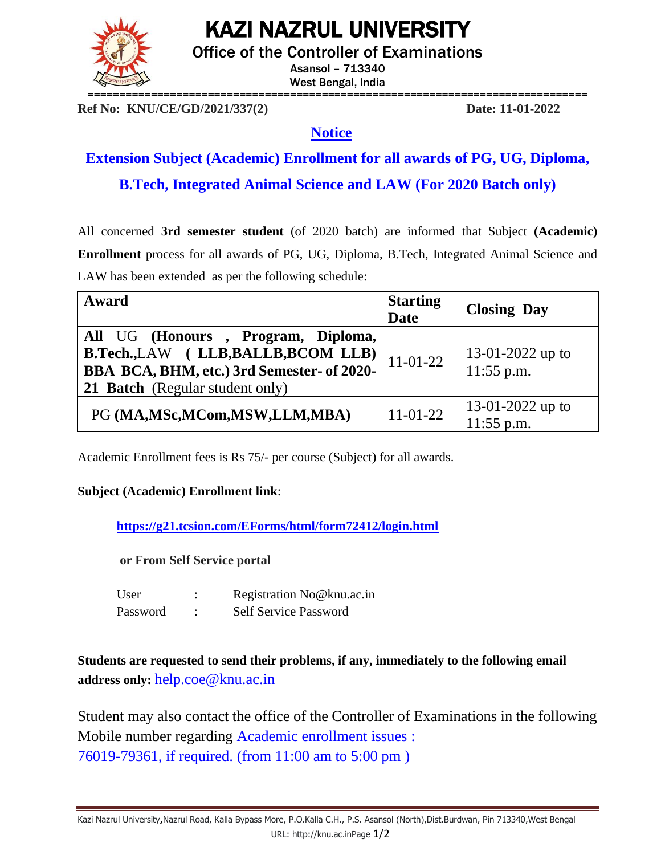KAZI NAZRUL UNIVERSITY

===============================================================================

Office of the Controller of Examinations Asansol – 713340 West Bengal, India

**Ref No: KNU/CE/GD/2021/337(2) Date: 11-01-2022**

## **Notice**

**Extension Subject (Academic) Enrollment for all awards of PG, UG, Diploma, B.Tech, Integrated Animal Science and LAW (For 2020 Batch only)**

All concerned **3rd semester student** (of 2020 batch) are informed that Subject **(Academic) Enrollment** process for all awards of PG, UG, Diploma, B.Tech, Integrated Animal Science and LAW has been extended as per the following schedule:

| Award                                                                                                                                                      | <b>Starting</b><br><b>Date</b> | <b>Closing Day</b>               |
|------------------------------------------------------------------------------------------------------------------------------------------------------------|--------------------------------|----------------------------------|
| All UG (Honours, Program, Diploma,<br>B.Tech., LAW (LLB, BALLB, BCOM LLB)<br>BBA BCA, BHM, etc.) 3rd Semester- of 2020-<br>21 Batch (Regular student only) | $11-01-22$                     | 13-01-2022 up to<br>$11:55$ p.m. |
| PG (MA, MSc, MCom, MSW, LLM, MBA)                                                                                                                          | $11 - 01 - 22$                 | 13-01-2022 up to<br>$11:55$ p.m. |

Academic Enrollment fees is Rs 75/- per course (Subject) for all awards.

## **Subject (Academic) Enrollment link**:

**<https://g21.tcsion.com/EForms/html/form72412/login.html>**

**or From Self Service portal** 

| User     | Registration No@knu.ac.in    |
|----------|------------------------------|
| Password | <b>Self Service Password</b> |

**Students are requested to send their problems, if any, immediately to the following email address only:** [help.coe@knu.ac.in](mailto:help.coe@knu.ac.in)

Student may also contact the office of the Controller of Examinations in the following Mobile number regarding Academic enrollment issues : 76019-79361, if required. (from 11:00 am to 5:00 pm )